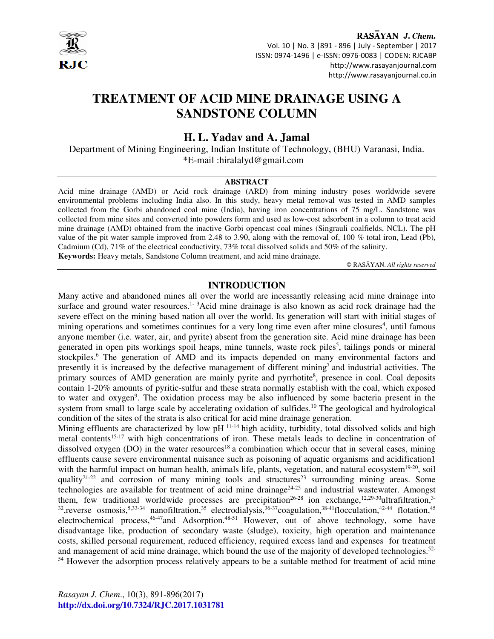

RASAYAN J. Chem. Vol. 10 | No. 3 |891 - 896 | July - September | 2017 ISSN: 0974-1496 | e-ISSN: 0976-0083 | CODEN: RJCABP http://www.rasayanjournal.com http://www.rasayanjournal.co.in

# **TREATMENT OF ACID MINE DRAINAGE USING A SANDSTONE COLUMN**

# **H. L. Yadav and A. Jamal**

Department of Mining Engineering, Indian Institute of Technology, (BHU) Varanasi, India. \*E-mail :hiralalyd@gmail.com

## **ABSTRACT**

Acid mine drainage (AMD) or Acid rock drainage (ARD) from mining industry poses worldwide severe environmental problems including India also. In this study, heavy metal removal was tested in AMD samples collected from the Gorbi abandoned coal mine (India), having iron concentrations of 75 mg/L. Sandstone was collected from mine sites and converted into powders form and used as low-cost adsorbent in a column to treat acid mine drainage (AMD) obtained from the inactive Gorbi opencast coal mines (Singrauli coalfields, NCL). The pH value of the pit water sample improved from 2.48 to 3.90, along with the removal of, 100 % total iron, Lead (Pb), Cadmium (Cd), 71% of the electrical conductivity, 73% total dissolved solids and 50% of the salinity. **Keywords:** Heavy metals, Sandstone Column treatment, and acid mine drainage.

© RASĀYAN. *All rights reserved*

# **INTRODUCTION**

Many active and abandoned mines all over the world are incessantly releasing acid mine drainage into surface and ground water resources.<sup>1-3</sup>Acid mine drainage is also known as acid rock drainage had the severe effect on the mining based nation all over the world. Its generation will start with initial stages of mining operations and sometimes continues for a very long time even after mine closures<sup>4</sup>, until famous anyone member (i.e. water, air, and pyrite) absent from the generation site. Acid mine drainage has been generated in open pits workings spoil heaps, mine tunnels, waste rock piles<sup>5</sup>, tailings ponds or mineral stockpiles.<sup>6</sup> The generation of AMD and its impacts depended on many environmental factors and presently it is increased by the defective management of different mining<sup>7</sup> and industrial activities. The primary sources of AMD generation are mainly pyrite and pyrrhotite<sup>8</sup>, presence in coal. Coal deposits contain 1-20% amounts of pyritic-sulfur and these strata normally establish with the coal, which exposed to water and oxygen<sup>9</sup>. The oxidation process may be also influenced by some bacteria present in the system from small to large scale by accelerating oxidation of sulfides.<sup>10</sup> The geological and hydrological condition of the sites of the strata is also critical for acid mine drainage generation.

Mining effluents are characterized by low pH<sup>11-14</sup> high acidity, turbidity, total dissolved solids and high metal contents<sup>15-17</sup> with high concentrations of iron. These metals leads to decline in concentration of dissolved oxygen (DO) in the water resources<sup>18</sup> a combination which occur that in several cases, mining effluents cause severe environmental nuisance such as poisoning of aquatic organisms and acidification1 with the harmful impact on human health, animals life, plants, vegetation, and natural ecosystem<sup>19-20</sup>, soil quality<sup>21-22</sup> and corrosion of many mining tools and structures<sup>23</sup> surrounding mining areas. Some technologies are available for treatment of acid mine drainage<sup>24-25</sup> and industrial wastewater. Amongst them, few traditional worldwide processes are precipitation<sup>26-28</sup> ion exchange,<sup>12,29-30</sup>ultrafiltration,<sup>3-1</sup> <sup>32</sup>, reverse osmosis,<sup>5,33-34</sup> nanofiltration,<sup>35</sup> electrodialysis,<sup>36-37</sup>coagulation,<sup>38-41</sup>flocculation,<sup>42-44</sup> flotation,<sup>45</sup> electrochemical process,  $46-47$  and Adsorption.<sup>48-51</sup> However, out of above technology, some have disadvantage like, production of secondary waste (sludge), toxicity, high operation and maintenance costs, skilled personal requirement, reduced efficiency, required excess land and expenses for treatment and management of acid mine drainage, which bound the use of the majority of developed technologies.52- <sup>54</sup> However the adsorption process relatively appears to be a suitable method for treatment of acid mine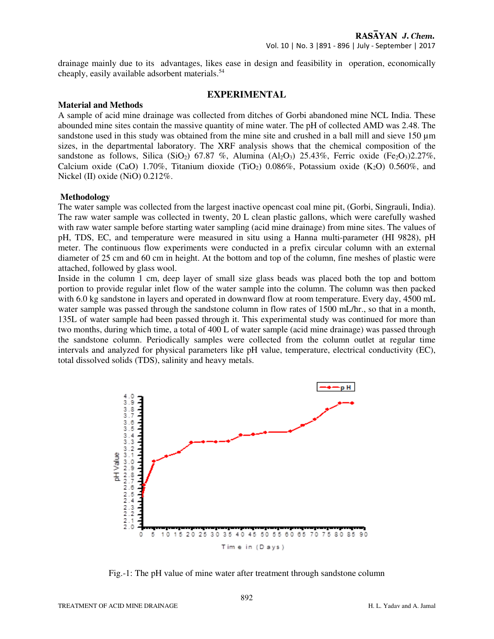drainage mainly due to its advantages, likes ease in design and feasibility in operation, economically cheaply, easily available adsorbent materials.<sup>54</sup>

## **EXPERIMENTAL**

#### **Material and Methods**

A sample of acid mine drainage was collected from ditches of Gorbi abandoned mine NCL India. These abounded mine sites contain the massive quantity of mine water. The pH of collected AMD was 2.48. The sandstone used in this study was obtained from the mine site and crushed in a ball mill and sieve 150  $\mu$ m sizes, in the departmental laboratory. The XRF analysis shows that the chemical composition of the sandstone as follows, Silica (SiO<sub>2</sub>) 67.87 %, Alumina (Al<sub>2</sub>O<sub>3</sub>) 25.43%, Ferric oxide (Fe<sub>2</sub>O<sub>3</sub>)2.27%, Calcium oxide (CaO) 1.70%, Titanium dioxide (TiO<sub>2</sub>) 0.086%, Potassium oxide (K<sub>2</sub>O) 0.560%, and Nickel (II) oxide (NiO) 0.212%.

#### **Methodology**

The water sample was collected from the largest inactive opencast coal mine pit, (Gorbi, Singrauli, India). The raw water sample was collected in twenty, 20 L clean plastic gallons, which were carefully washed with raw water sample before starting water sampling (acid mine drainage) from mine sites. The values of pH, TDS, EC, and temperature were measured in situ using a Hanna multi-parameter (HI 9828), pH meter. The continuous flow experiments were conducted in a prefix circular column with an external diameter of 25 cm and 60 cm in height. At the bottom and top of the column, fine meshes of plastic were attached, followed by glass wool.

Inside in the column 1 cm, deep layer of small size glass beads was placed both the top and bottom portion to provide regular inlet flow of the water sample into the column. The column was then packed with 6.0 kg sandstone in layers and operated in downward flow at room temperature. Every day, 4500 mL water sample was passed through the sandstone column in flow rates of 1500 mL/hr., so that in a month, 135L of water sample had been passed through it. This experimental study was continued for more than two months, during which time, a total of 400 L of water sample (acid mine drainage) was passed through the sandstone column. Periodically samples were collected from the column outlet at regular time intervals and analyzed for physical parameters like pH value, temperature, electrical conductivity (EC), total dissolved solids (TDS), salinity and heavy metals.



Fig.-1: The pH value of mine water after treatment through sandstone column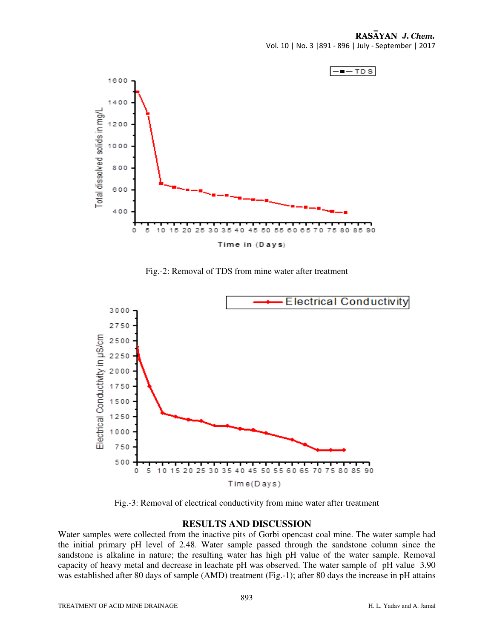

Fig.-2: Removal of TDS from mine water after treatment



Fig.-3: Removal of electrical conductivity from mine water after treatment

# **RESULTS AND DISCUSSION**

Water samples were collected from the inactive pits of Gorbi opencast coal mine. The water sample had the initial primary pH level of 2.48. Water sample passed through the sandstone column since the sandstone is alkaline in nature; the resulting water has high pH value of the water sample. Removal capacity of heavy metal and decrease in leachate pH was observed. The water sample of pH value 3.90 was established after 80 days of sample (AMD) treatment (Fig.-1); after 80 days the increase in pH attains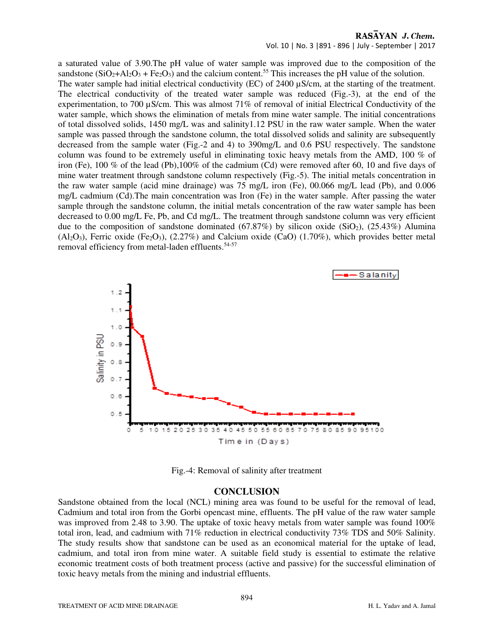# RASAYAN J. Chem.

Vol. 10 | No. 3 |891 - 896 | July - September | 2017

a saturated value of 3.90.The pH value of water sample was improved due to the composition of the sandstone  $(SiO_2+AI_2O_3 + Fe_2O_3)$  and the calcium content.<sup>55</sup> This increases the pH value of the solution. The water sample had initial electrical conductivity (EC) of 2400  $\mu$ S/cm, at the starting of the treatment. The electrical conductivity of the treated water sample was reduced (Fig.-3), at the end of the experimentation, to 700 µS/cm. This was almost 71% of removal of initial Electrical Conductivity of the water sample, which shows the elimination of metals from mine water sample. The initial concentrations of total dissolved solids, 1450 mg/L was and salinity1.12 PSU in the raw water sample. When the water sample was passed through the sandstone column, the total dissolved solids and salinity are subsequently decreased from the sample water (Fig.-2 and 4) to 390mg/L and 0.6 PSU respectively. The sandstone column was found to be extremely useful in eliminating toxic heavy metals from the AMD, 100  $%$  of iron (Fe), 100 % of the lead (Pb),100% of the cadmium (Cd) were removed after 60, 10 and five days of mine water treatment through sandstone column respectively (Fig.-5). The initial metals concentration in the raw water sample (acid mine drainage) was 75 mg/L iron (Fe), 00.066 mg/L lead (Pb), and 0.006 mg/L cadmium (Cd).The main concentration was Iron (Fe) in the water sample. After passing the water sample through the sandstone column, the initial metals concentration of the raw water sample has been decreased to 0.00 mg/L Fe, Pb, and Cd mg/L. The treatment through sandstone column was very efficient due to the composition of sandstone dominated  $(67.87%)$  by silicon oxide  $(SiO<sub>2</sub>)$ ,  $(25.43%)$  Alumina  $(A<sub>2</sub>O<sub>3</sub>)$ , Ferric oxide (Fe<sub>2</sub>O<sub>3</sub>), (2.27%) and Calcium oxide (CaO) (1.70%), which provides better metal removal efficiency from metal-laden effluents.<sup>54-57</sup>





#### **CONCLUSION**

Sandstone obtained from the local (NCL) mining area was found to be useful for the removal of lead, Cadmium and total iron from the Gorbi opencast mine, effluents. The pH value of the raw water sample was improved from 2.48 to 3.90. The uptake of toxic heavy metals from water sample was found  $100\%$ total iron, lead, and cadmium with 71% reduction in electrical conductivity 73% TDS and 50% Salinity. The study results show that sandstone can be used as an economical material for the uptake of lead, cadmium, and total iron from mine water. A suitable field study is essential to estimate the relative economic treatment costs of both treatment process (active and passive) for the successful elimination of toxic heavy metals from the mining and industrial effluents.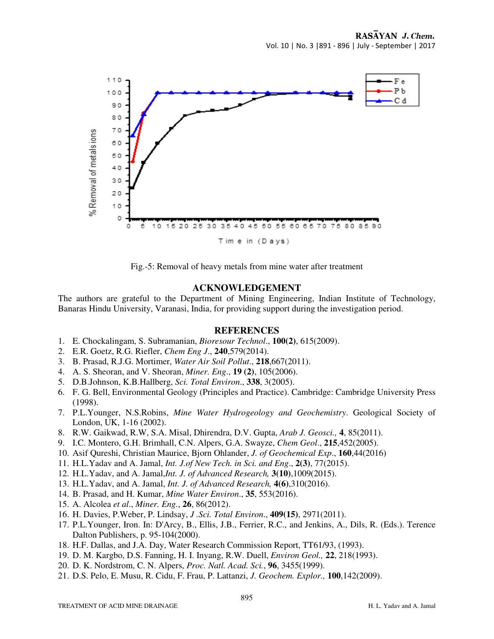

Fig.-5: Removal of heavy metals from mine water after treatment

## **ACKNOWLEDGEMENT**

The authors are grateful to the Department of Mining Engineering, Indian Institute of Technology, Banaras Hindu University, Varanasi, India, for providing support during the investigation period.

#### **REFERENCES**

- 1. E. Chockalingam, S. Subramanian, *Bioresour Technol*., **100(2)**, 615(2009).
- 2. E.R. Goetz, R.G. Riefler, *Chem Eng J*., **240**,579(2014).
- 3. B. Prasad, R.J.G. Mortimer, *Water Air Soil Pollut*., **218**,667(2011).
- 4. A. S. Sheoran, and V. Sheoran, *Miner. Eng*., **19 (2)**, 105(2006).
- 5. D.B.Johnson, K.B.Hallberg, *Sci. Total Environ*., **338**, 3(2005).
- 6. F. G. Bell, Environmental Geology (Principles and Practice). Cambridge: Cambridge University Press (1998).
- 7. P.L.Younger, N.S.Robins, *Mine Water Hydrogeology and Geochemistry*. Geological Society of London, UK, 1-16 (2002).
- 8. R.W. Gaikwad, R.W, S.A. Misal, Dhirendra, D.V. Gupta, *Arab J. Geosci.,* **4**, 85(2011).
- 9. I.C. Montero, G.H. Brimhall, C.N. Alpers, G.A. Swayze, *Chem Geol*., **215**,452(2005).
- 10. Asif Qureshi, Christian Maurice, Bjorn Ohlander, *J. of Geochemical Exp*., **160**,44(2016)
- 11. H.L.Yadav and A. Jamal, *Int. J.of New Tech. in Sci. and Eng*., **2(3)**, 77(2015).
- 12. H.L.Yadav, and A. Jamal,*Int. J. of Advanced Research,* **3(10)**,1009(2015).
- 13. H.L.Yadav, and A. Jamal, *Int. J. of Advanced Research,* **4(6)**,310(2016).
- 14. B. Prasad, and H. Kumar, *Mine Water Environ*., **35**, 553(2016).
- 15. A. Alcolea *et al*., *Miner. Eng.*, **26**, 86(2012).
- 16. H. Davies, P.Weber, P. Lindsay, *J .Sci. Total Environ*., **409(15)**, 2971(2011).
- 17. P.L.Younger, Iron. In: D'Arcy, B., Ellis, J.B., Ferrier, R.C., and Jenkins, A., Dils, R. (Eds.). Terence Dalton Publishers, p. 95-104(2000).
- 18. H.F. Dallas, and J.A. Day, Water Research Commission Report, TT61/93, (1993).
- 19. D. M. Kargbo, D.S. Fanning, H. I. Inyang, R.W. Duell, *Environ Geol.,* **22**, 218(1993).
- 20. D. K. Nordstrom, C. N. Alpers, *Proc. Natl. Acad. Sci.*, **96**, 3455(1999).
- 21. D.S. Pelo, E. Musu, R. Cidu, F. Frau, P. Lattanzi, *J. Geochem. Explor.,* **100**,142(2009).